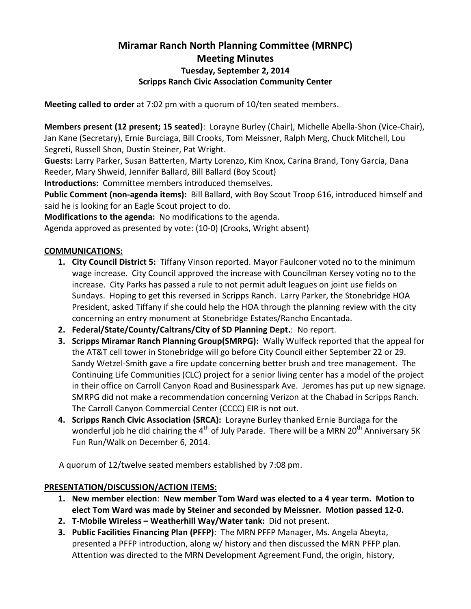# Miramar Ranch North Planning Committee (MRNPC) Meeting Minutes Tuesday, September 2, 2014 Scripps Ranch Civic Association Community Center

Meeting called to order at 7:02 pm with a quorum of 10/ten seated members.

Members present (12 present; 15 seated): Lorayne Burley (Chair), Michelle Abella-Shon (Vice-Chair), Jan Kane (Secretary), Ernie Burciaga, Bill Crooks, Tom Meissner, Ralph Merg, Chuck Mitchell, Lou Segreti, Russell Shon, Dustin Steiner, Pat Wright.

Guests: Larry Parker, Susan Batterten, Marty Lorenzo, Kim Knox, Carina Brand, Tony Garcia, Dana Reeder, Mary Shweid, Jennifer Ballard, Bill Ballard (Boy Scout)

Introductions: Committee members introduced themselves.

Public Comment (non-agenda items): Bill Ballard, with Boy Scout Troop 616, introduced himself and said he is looking for an Eagle Scout project to do.

Modifications to the agenda: No modifications to the agenda.

Agenda approved as presented by vote: (10-0) (Crooks, Wright absent)

# COMMUNICATIONS:

- 1. City Council District 5: Tiffany Vinson reported. Mayor Faulconer voted no to the minimum wage increase. City Council approved the increase with Councilman Kersey voting no to the increase. City Parks has passed a rule to not permit adult leagues on joint use fields on Sundays. Hoping to get this reversed in Scripps Ranch. Larry Parker, the Stonebridge HOA President, asked Tiffany if she could help the HOA through the planning review with the city concerning an entry monument at Stonebridge Estates/Rancho Encantada.
- 2. Federal/State/County/Caltrans/City of SD Planning Dept.: No report.
- 3. Scripps Miramar Ranch Planning Group(SMRPG): Wally Wulfeck reported that the appeal for the AT&T cell tower in Stonebridge will go before City Council either September 22 or 29. Sandy Wetzel-Smith gave a fire update concerning better brush and tree management. The Continuing Life Communities (CLC) project for a senior living center has a model of the project in their office on Carroll Canyon Road and Businesspark Ave. Jeromes has put up new signage. SMRPG did not make a recommendation concerning Verizon at the Chabad in Scripps Ranch. The Carroll Canyon Commercial Center (CCCC) EIR is not out.
- 4. Scripps Ranch Civic Association (SRCA): Lorayne Burley thanked Ernie Burciaga for the wonderful job he did chairing the  $4^{th}$  of July Parade. There will be a MRN 20<sup>th</sup> Anniversary 5K Fun Run/Walk on December 6, 2014.

A quorum of 12/twelve seated members established by 7:08 pm.

### PRESENTATION/DISCUSSION/ACTION ITEMS:

- 1. New member election: New member Tom Ward was elected to a 4 year term. Motion to elect Tom Ward was made by Steiner and seconded by Meissner. Motion passed 12-0.
- 2. T-Mobile Wireless Weatherhill Way/Water tank: Did not present.
- 3. Public Facilities Financing Plan (PFFP): The MRN PFFP Manager, Ms. Angela Abeyta, presented a PFFP introduction, along w/ history and then discussed the MRN PFFP plan. Attention was directed to the MRN Development Agreement Fund, the origin, history,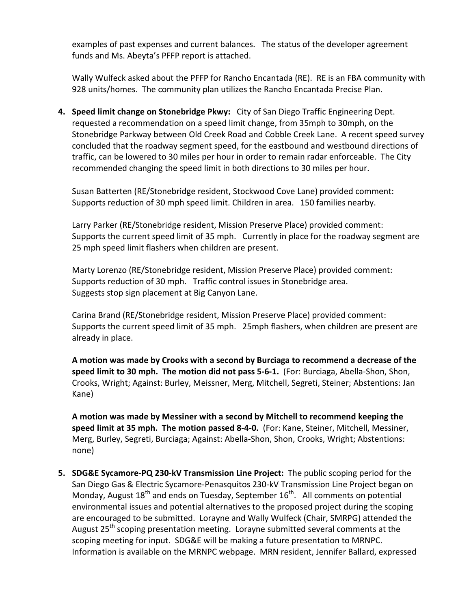examples of past expenses and current balances. The status of the developer agreement funds and Ms. Abeyta's PFFP report is attached.

Wally Wulfeck asked about the PFFP for Rancho Encantada (RE). RE is an FBA community with 928 units/homes. The community plan utilizes the Rancho Encantada Precise Plan.

4. Speed limit change on Stonebridge Pkwy: City of San Diego Traffic Engineering Dept. requested a recommendation on a speed limit change, from 35mph to 30mph, on the Stonebridge Parkway between Old Creek Road and Cobble Creek Lane. A recent speed survey concluded that the roadway segment speed, for the eastbound and westbound directions of traffic, can be lowered to 30 miles per hour in order to remain radar enforceable. The City recommended changing the speed limit in both directions to 30 miles per hour.

Susan Batterten (RE/Stonebridge resident, Stockwood Cove Lane) provided comment: Supports reduction of 30 mph speed limit. Children in area. 150 families nearby.

Larry Parker (RE/Stonebridge resident, Mission Preserve Place) provided comment: Supports the current speed limit of 35 mph. Currently in place for the roadway segment are 25 mph speed limit flashers when children are present.

Marty Lorenzo (RE/Stonebridge resident, Mission Preserve Place) provided comment: Supports reduction of 30 mph. Traffic control issues in Stonebridge area. Suggests stop sign placement at Big Canyon Lane.

Carina Brand (RE/Stonebridge resident, Mission Preserve Place) provided comment: Supports the current speed limit of 35 mph. 25mph flashers, when children are present are already in place.

A motion was made by Crooks with a second by Burciaga to recommend a decrease of the speed limit to 30 mph. The motion did not pass 5-6-1. (For: Burciaga, Abella-Shon, Shon, Crooks, Wright; Against: Burley, Meissner, Merg, Mitchell, Segreti, Steiner; Abstentions: Jan Kane)

A motion was made by Messiner with a second by Mitchell to recommend keeping the speed limit at 35 mph. The motion passed 8-4-0. (For: Kane, Steiner, Mitchell, Messiner, Merg, Burley, Segreti, Burciaga; Against: Abella-Shon, Shon, Crooks, Wright; Abstentions: none)

5. SDG&E Sycamore-PQ 230-kV Transmission Line Project: The public scoping period for the San Diego Gas & Electric Sycamore-Penasquitos 230-kV Transmission Line Project began on Monday, August  $18<sup>th</sup>$  and ends on Tuesday, September  $16<sup>th</sup>$ . All comments on potential environmental issues and potential alternatives to the proposed project during the scoping are encouraged to be submitted. Lorayne and Wally Wulfeck (Chair, SMRPG) attended the August 25<sup>th</sup> scoping presentation meeting. Lorayne submitted several comments at the scoping meeting for input. SDG&E will be making a future presentation to MRNPC. Information is available on the MRNPC webpage. MRN resident, Jennifer Ballard, expressed